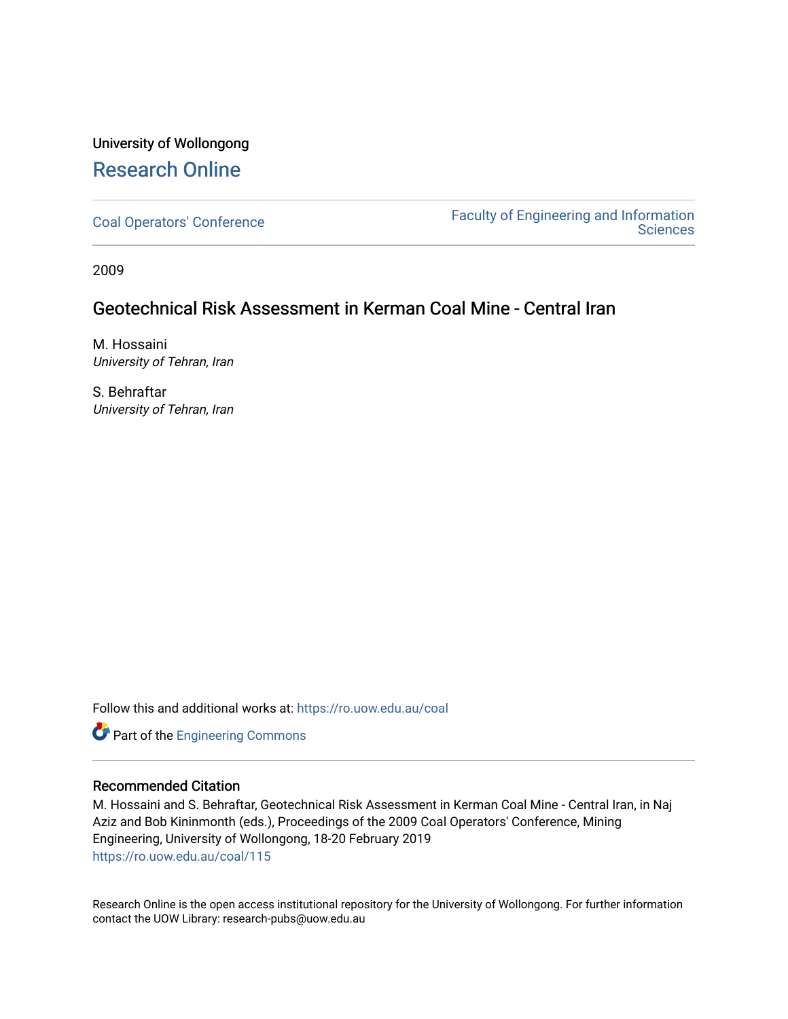# University of Wollongong [Research Online](https://ro.uow.edu.au/)

[Coal Operators' Conference](https://ro.uow.edu.au/coal) [Faculty of Engineering and Information](https://ro.uow.edu.au/eis)  **Sciences** 

2009

# Geotechnical Risk Assessment in Kerman Coal Mine - Central Iran

M. Hossaini University of Tehran, Iran

S. Behraftar University of Tehran, Iran

Follow this and additional works at: [https://ro.uow.edu.au/coal](https://ro.uow.edu.au/coal?utm_source=ro.uow.edu.au%2Fcoal%2F115&utm_medium=PDF&utm_campaign=PDFCoverPages) 

Part of the [Engineering Commons](http://network.bepress.com/hgg/discipline/217?utm_source=ro.uow.edu.au%2Fcoal%2F115&utm_medium=PDF&utm_campaign=PDFCoverPages)

## Recommended Citation

M. Hossaini and S. Behraftar, Geotechnical Risk Assessment in Kerman Coal Mine - Central Iran, in Naj Aziz and Bob Kininmonth (eds.), Proceedings of the 2009 Coal Operators' Conference, Mining Engineering, University of Wollongong, 18-20 February 2019 [https://ro.uow.edu.au/coal/115](https://ro.uow.edu.au/coal/115?utm_source=ro.uow.edu.au%2Fcoal%2F115&utm_medium=PDF&utm_campaign=PDFCoverPages) 

Research Online is the open access institutional repository for the University of Wollongong. For further information contact the UOW Library: research-pubs@uow.edu.au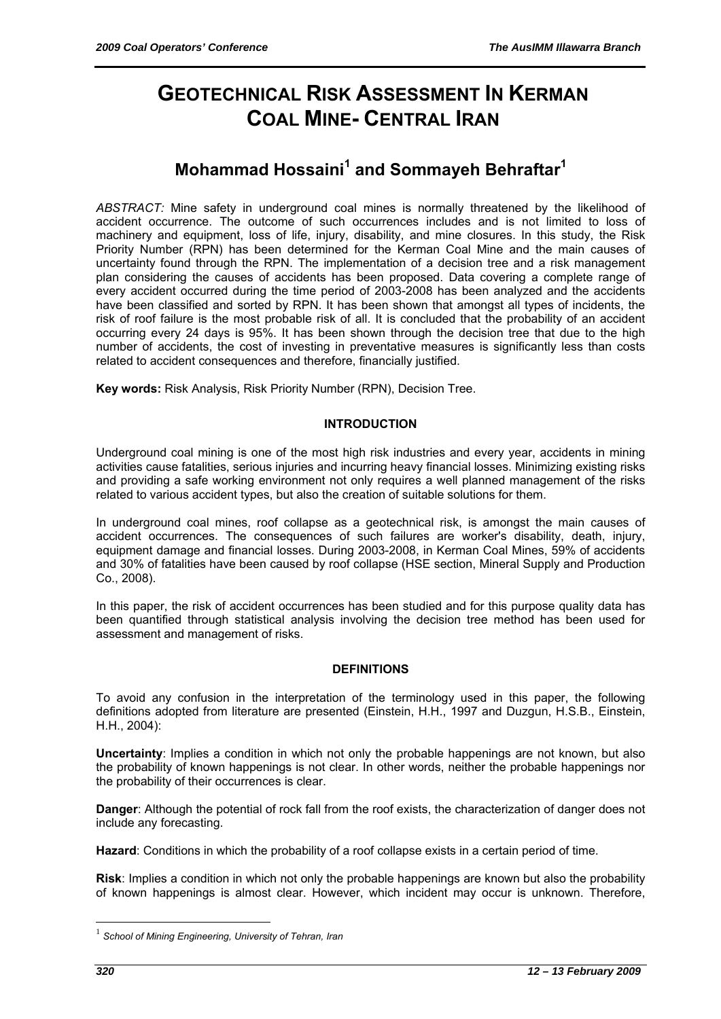# **GEOTECHNICAL RISK ASSESSMENT IN KERMAN COAL MINE- CENTRAL IRAN**

# **Mohammad Hossaini<sup>1</sup> and Sommayeh Behraftar<sup>1</sup>**

*ABSTRACT:* Mine safety in underground coal mines is normally threatened by the likelihood of accident occurrence. The outcome of such occurrences includes and is not limited to loss of machinery and equipment, loss of life, injury, disability, and mine closures. In this study, the Risk Priority Number (RPN) has been determined for the Kerman Coal Mine and the main causes of uncertainty found through the RPN. The implementation of a decision tree and a risk management plan considering the causes of accidents has been proposed. Data covering a complete range of every accident occurred during the time period of 2003-2008 has been analyzed and the accidents have been classified and sorted by RPN. It has been shown that amongst all types of incidents, the risk of roof failure is the most probable risk of all. It is concluded that the probability of an accident occurring every 24 days is 95%. It has been shown through the decision tree that due to the high number of accidents, the cost of investing in preventative measures is significantly less than costs related to accident consequences and therefore, financially justified.

**Key words:** Risk Analysis, Risk Priority Number (RPN), Decision Tree.

## **INTRODUCTION**

Underground coal mining is one of the most high risk industries and every year, accidents in mining activities cause fatalities, serious injuries and incurring heavy financial losses. Minimizing existing risks and providing a safe working environment not only requires a well planned management of the risks related to various accident types, but also the creation of suitable solutions for them.

In underground coal mines, roof collapse as a geotechnical risk, is amongst the main causes of accident occurrences. The consequences of such failures are worker's disability, death, injury, equipment damage and financial losses. During 2003-2008, in Kerman Coal Mines, 59% of accidents and 30% of fatalities have been caused by roof collapse (HSE section, Mineral Supply and Production Co., 2008).

In this paper, the risk of accident occurrences has been studied and for this purpose quality data has been quantified through statistical analysis involving the decision tree method has been used for assessment and management of risks.

## **DEFINITIONS**

To avoid any confusion in the interpretation of the terminology used in this paper, the following definitions adopted from literature are presented (Einstein, H.H., 1997 and Duzgun, H.S.B., Einstein, H.H., 2004):

**Uncertainty**: Implies a condition in which not only the probable happenings are not known, but also the probability of known happenings is not clear. In other words, neither the probable happenings nor the probability of their occurrences is clear.

**Danger**: Although the potential of rock fall from the roof exists, the characterization of danger does not include any forecasting.

**Hazard**: Conditions in which the probability of a roof collapse exists in a certain period of time.

**Risk**: Implies a condition in which not only the probable happenings are known but also the probability of known happenings is almost clear. However, which incident may occur is unknown. Therefore,

 $\overline{a}$ 

<sup>1</sup> *School of Mining Engineering, University of Tehran, Iran*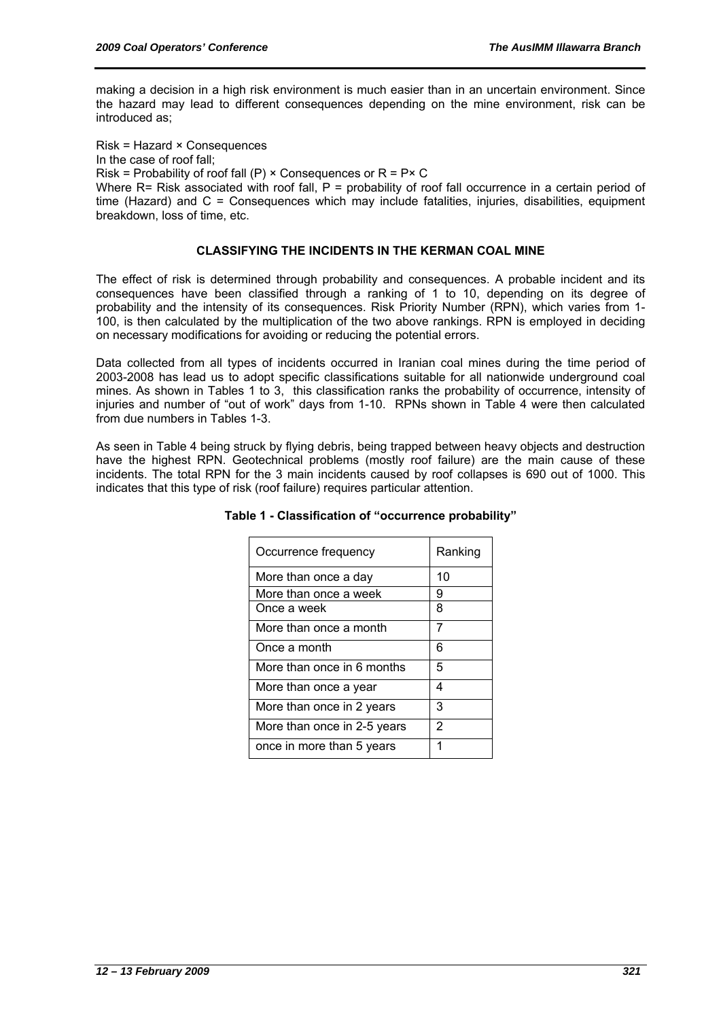making a decision in a high risk environment is much easier than in an uncertain environment. Since the hazard may lead to different consequences depending on the mine environment, risk can be introduced as;

Risk = Hazard × Consequences

In the case of roof fall;

Risk = Probability of roof fall (P)  $\times$  Consequences or R = P $\times$  C

Where R= Risk associated with roof fall, P = probability of roof fall occurrence in a certain period of time (Hazard) and  $C =$  Consequences which may include fatalities, injuries, disabilities, equipment breakdown, loss of time, etc.

#### **CLASSIFYING THE INCIDENTS IN THE KERMAN COAL MINE**

The effect of risk is determined through probability and consequences. A probable incident and its consequences have been classified through a ranking of 1 to 10, depending on its degree of probability and the intensity of its consequences. Risk Priority Number (RPN), which varies from 1- 100, is then calculated by the multiplication of the two above rankings. RPN is employed in deciding on necessary modifications for avoiding or reducing the potential errors.

Data collected from all types of incidents occurred in Iranian coal mines during the time period of 2003-2008 has lead us to adopt specific classifications suitable for all nationwide underground coal mines. As shown in Tables 1 to 3, this classification ranks the probability of occurrence, intensity of injuries and number of "out of work" days from 1-10. RPNs shown in Table 4 were then calculated from due numbers in Tables 1-3.

As seen in Table 4 being struck by flying debris, being trapped between heavy objects and destruction have the highest RPN. Geotechnical problems (mostly roof failure) are the main cause of these incidents. The total RPN for the 3 main incidents caused by roof collapses is 690 out of 1000. This indicates that this type of risk (roof failure) requires particular attention.

| Occurrence frequency        | Ranking |
|-----------------------------|---------|
| More than once a day        | 10      |
| More than once a week       | 9       |
| Once a week                 | 8       |
| More than once a month      | 7       |
| Once a month                | 6       |
| More than once in 6 months  | 5       |
| More than once a year       | 4       |
| More than once in 2 years   | 3       |
| More than once in 2-5 years | 2       |
| once in more than 5 years   |         |

#### **Table 1 - Classification of "occurrence probability"**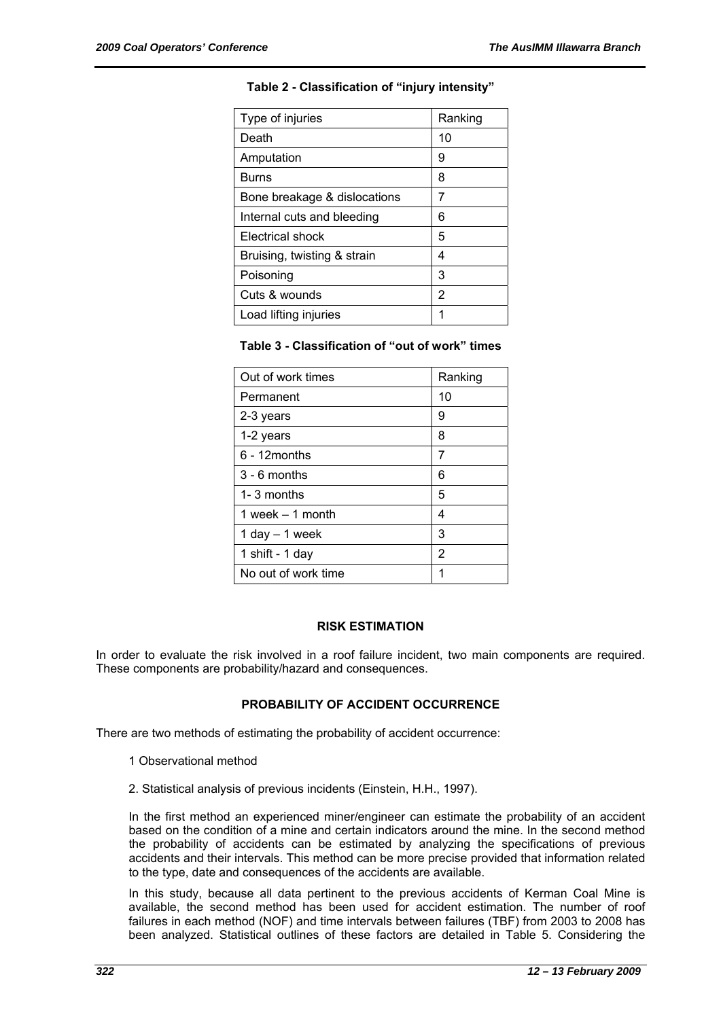| Type of injuries             | Ranking |
|------------------------------|---------|
| Death                        | 10      |
| Amputation                   | 9       |
| <b>Burns</b>                 | 8       |
| Bone breakage & dislocations | 7       |
| Internal cuts and bleeding   | 6       |
| Electrical shock             | 5       |
| Bruising, twisting & strain  | 4       |
| Poisoning                    | 3       |
| Cuts & wounds                | 2       |
| Load lifting injuries        | 1       |

# **Table 2 - Classification of "injury intensity"**

## **Table 3 - Classification of "out of work" times**

| Out of work times   | Ranking |
|---------------------|---------|
| Permanent           | 10      |
| 2-3 years           | 9       |
| 1-2 years           | 8       |
| $6 - 12$ months     | 7       |
| $3 - 6$ months      | 6       |
| 1-3 months          | 5       |
| 1 week $-$ 1 month  | 4       |
| 1 day $-$ 1 week    | 3       |
| 1 shift - 1 day     | 2       |
| No out of work time | 1       |

## **RISK ESTIMATION**

In order to evaluate the risk involved in a roof failure incident, two main components are required. These components are probability/hazard and consequences.

## **PROBABILITY OF ACCIDENT OCCURRENCE**

There are two methods of estimating the probability of accident occurrence:

- 1 Observational method
- 2. Statistical analysis of previous incidents (Einstein, H.H., 1997).

In the first method an experienced miner/engineer can estimate the probability of an accident based on the condition of a mine and certain indicators around the mine. In the second method the probability of accidents can be estimated by analyzing the specifications of previous accidents and their intervals. This method can be more precise provided that information related to the type, date and consequences of the accidents are available.

In this study, because all data pertinent to the previous accidents of Kerman Coal Mine is available, the second method has been used for accident estimation. The number of roof failures in each method (NOF) and time intervals between failures (TBF) from 2003 to 2008 has been analyzed. Statistical outlines of these factors are detailed in Table 5. Considering the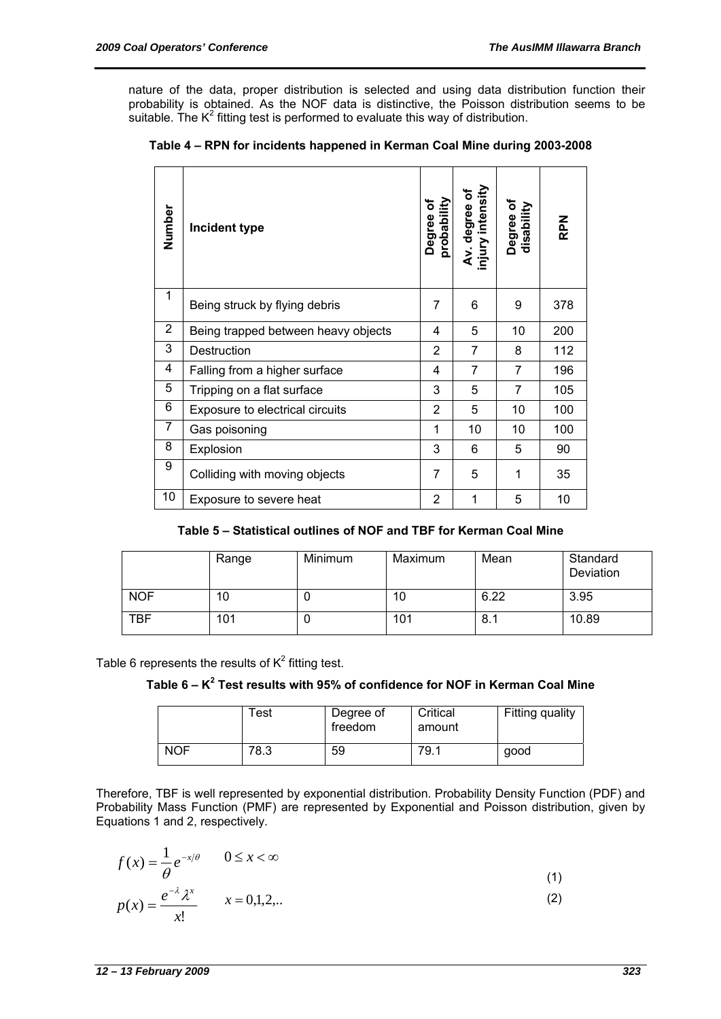nature of the data, proper distribution is selected and using data distribution function their probability is obtained. As the NOF data is distinctive, the Poisson distribution seems to be suitable. The  $K^2$  fitting test is performed to evaluate this way of distribution.

| Number         | Incident type                       |   | Av. degree of<br>injury intensity | Degree of<br>disability | <b>RPN</b> |
|----------------|-------------------------------------|---|-----------------------------------|-------------------------|------------|
| 1              | Being struck by flying debris       | 7 | 6                                 | 9                       | 378        |
| $\overline{2}$ | Being trapped between heavy objects | 4 | 5                                 | 10                      | 200        |
| 3              | Destruction                         |   | 7                                 | 8                       | 112        |
| 4              | Falling from a higher surface       |   | 7                                 | 7                       | 196        |
| 5              | Tripping on a flat surface          |   | 5                                 | $\overline{7}$          | 105        |
| 6              | Exposure to electrical circuits     |   | 5                                 | 10                      | 100        |
| 7              | Gas poisoning                       |   | 10                                | 10                      | 100        |
| 8              | Explosion                           |   | 6                                 | 5                       | 90         |
| 9              | Colliding with moving objects       |   | 5                                 | 1                       | 35         |
| 10             | Exposure to severe heat             | 2 | 1                                 | 5                       | 10         |

## **Table 5 – Statistical outlines of NOF and TBF for Kerman Coal Mine**

|            | Range | Minimum | Maximum | Mean | Standard<br>Deviation |
|------------|-------|---------|---------|------|-----------------------|
| <b>NOF</b> | 10    | u       | 10      | 6.22 | 3.95                  |
| <b>TBF</b> | 101   | ν       | 101     | 8.1  | 10.89                 |

Table 6 represents the results of  $K^2$  fitting test.

**Table 6 – K<sup>2</sup> Test results with 95% of confidence for NOF in Kerman Coal Mine** 

|            | Test | Degree of<br>freedom | Critical<br>amount | Fitting quality |
|------------|------|----------------------|--------------------|-----------------|
| <b>NOF</b> | 78.3 | 59                   | 79.1               | good            |

Therefore, TBF is well represented by exponential distribution. Probability Density Function (PDF) and Probability Mass Function (PMF) are represented by Exponential and Poisson distribution, given by Equations 1 and 2, respectively.

$$
f(x) = \frac{1}{\theta} e^{-x/\theta} \qquad 0 \le x < \infty
$$
  
\n
$$
p(x) = \frac{e^{-\lambda} \lambda^x}{x!} \qquad x = 0,1,2,...
$$
\n(1)  
\n(2)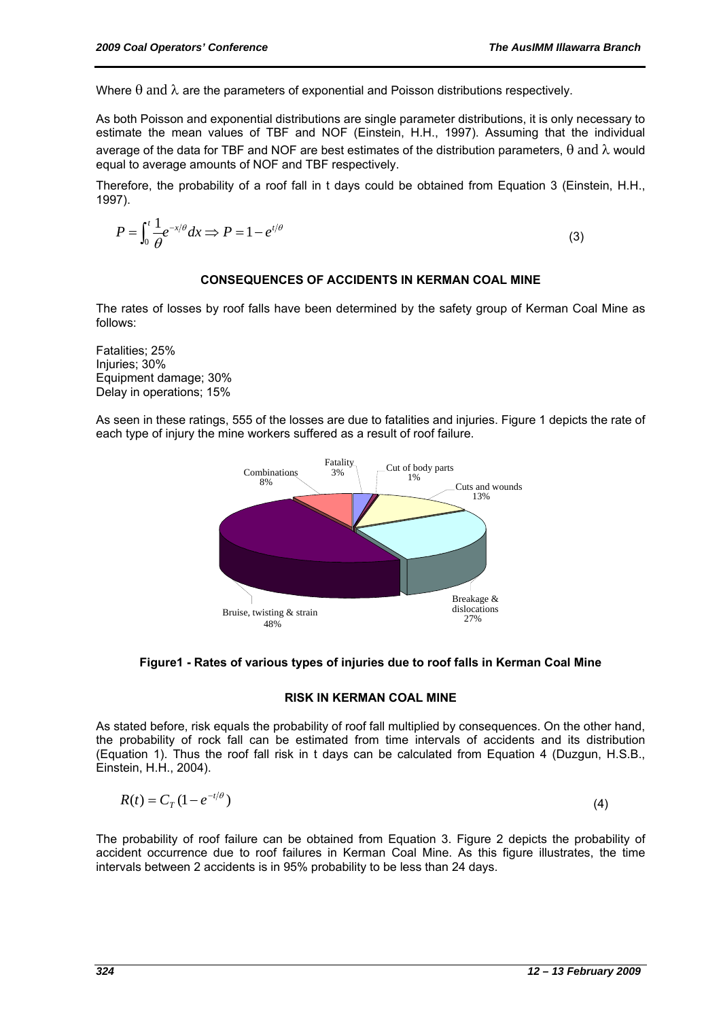Where  $\theta$  and  $\lambda$  are the parameters of exponential and Poisson distributions respectively.

As both Poisson and exponential distributions are single parameter distributions, it is only necessary to estimate the mean values of TBF and NOF (Einstein, H.H., 1997). Assuming that the individual average of the data for TBF and NOF are best estimates of the distribution parameters,  $\theta$  and  $\lambda$  would equal to average amounts of NOF and TBF respectively.

Therefore, the probability of a roof fall in t days could be obtained from Equation 3 (Einstein, H.H., 1997).

$$
P = \int_0^t \frac{1}{\theta} e^{-x/\theta} dx \Rightarrow P = 1 - e^{t/\theta}
$$
 (3)

#### **CONSEQUENCES OF ACCIDENTS IN KERMAN COAL MINE**

The rates of losses by roof falls have been determined by the safety group of Kerman Coal Mine as follows:

Fatalities; 25% Injuries; 30% Equipment damage; 30% Delay in operations; 15%

As seen in these ratings, 555 of the losses are due to fatalities and injuries. Figure 1 depicts the rate of each type of injury the mine workers suffered as a result of roof failure.



#### **Figure1 - Rates of various types of injuries due to roof falls in Kerman Coal Mine**

#### **RISK IN KERMAN COAL MINE**

As stated before, risk equals the probability of roof fall multiplied by consequences. On the other hand, the probability of rock fall can be estimated from time intervals of accidents and its distribution (Equation 1). Thus the roof fall risk in t days can be calculated from Equation 4 (Duzgun, H.S.B., Einstein, H.H., 2004).

$$
R(t) = C_T (1 - e^{-t/\theta})
$$
\n<sup>(4)</sup>

The probability of roof failure can be obtained from Equation 3. Figure 2 depicts the probability of accident occurrence due to roof failures in Kerman Coal Mine. As this figure illustrates, the time intervals between 2 accidents is in 95% probability to be less than 24 days.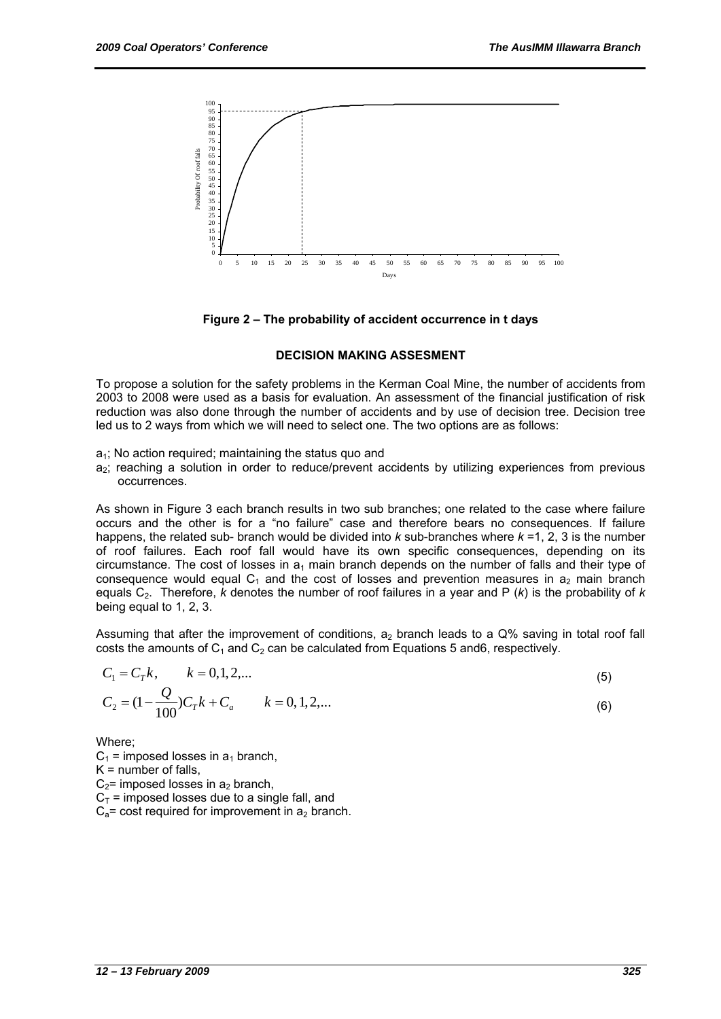

**Figure 2 – The probability of accident occurrence in t days** 

#### **DECISION MAKING ASSESMENT**

To propose a solution for the safety problems in the Kerman Coal Mine, the number of accidents from 2003 to 2008 were used as a basis for evaluation. An assessment of the financial justification of risk reduction was also done through the number of accidents and by use of decision tree. Decision tree led us to 2 ways from which we will need to select one. The two options are as follows:

- $a_1$ ; No action required; maintaining the status quo and
- a<sub>2</sub>; reaching a solution in order to reduce/prevent accidents by utilizing experiences from previous occurrences.

As shown in Figure 3 each branch results in two sub branches; one related to the case where failure occurs and the other is for a "no failure" case and therefore bears no consequences. If failure happens, the related sub- branch would be divided into *k* sub-branches where *k* =1, 2, 3 is the number of roof failures. Each roof fall would have its own specific consequences, depending on its circumstance. The cost of losses in  $a_1$  main branch depends on the number of falls and their type of consequence would equal  $C_1$  and the cost of losses and prevention measures in  $a_2$  main branch equals  $C_2$ . Therefore, *k* denotes the number of roof failures in a year and P (*k*) is the probability of *k* being equal to 1, 2, 3.

Assuming that after the improvement of conditions,  $a_2$  branch leads to a Q% saving in total roof fall costs the amounts of  $C_1$  and  $C_2$  can be calculated from Equations 5 and6, respectively.

$$
C_1 = C_T k, \qquad k = 0, 1, 2, \dots
$$
  
\n
$$
C_2 = (1 - \frac{Q}{100})C_T k + C_a \qquad k = 0, 1, 2, \dots
$$
\n(6)

Where;

 $C_1$  = imposed losses in  $a_1$  branch,  $K =$  number of falls,  $C_2$ = imposed losses in  $a_2$  branch,  $C_T$  = imposed losses due to a single fall, and  $C_a$ = cost required for improvement in  $a_2$  branch.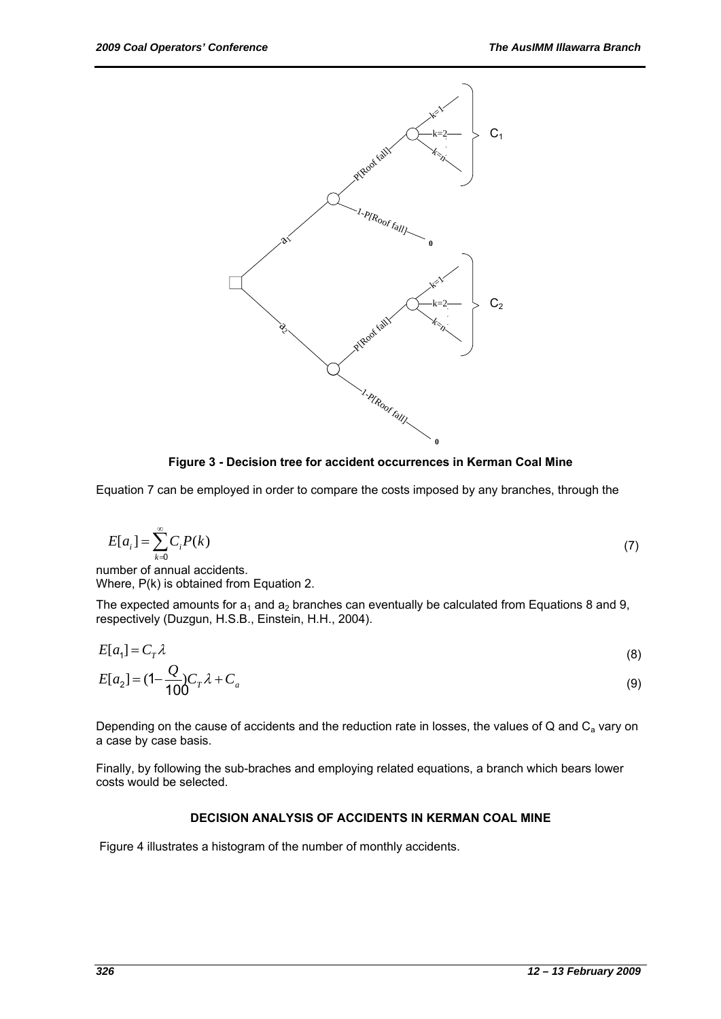

**Figure 3 - Decision tree for accident occurrences in Kerman Coal Mine** 

Equation 7 can be employed in order to compare the costs imposed by any branches, through the

$$
E[a_i] = \sum_{k=0}^{\infty} C_i P(k)
$$
\nwhich of equal coefficients

\n
$$
E[a_i] = \sum_{k=0}^{\infty} C_i P(k)
$$
\n(7)

number of annual accidents. Where, P(k) is obtained from Equation 2.

The expected amounts for  $a_1$  and  $a_2$  branches can eventually be calculated from Equations 8 and 9, respectively (Duzgun, H.S.B., Einstein, H.H., 2004).

$$
E[a_1] = C_T \lambda
$$
\n<sup>(8)</sup>

$$
E[a_2] = (1 - \frac{Q}{100})C_T \lambda + C_a \tag{9}
$$

Depending on the cause of accidents and the reduction rate in losses, the values of Q and  $C_a$  vary on a case by case basis.

Finally, by following the sub-braches and employing related equations, a branch which bears lower costs would be selected.

## **DECISION ANALYSIS OF ACCIDENTS IN KERMAN COAL MINE**

Figure 4 illustrates a histogram of the number of monthly accidents.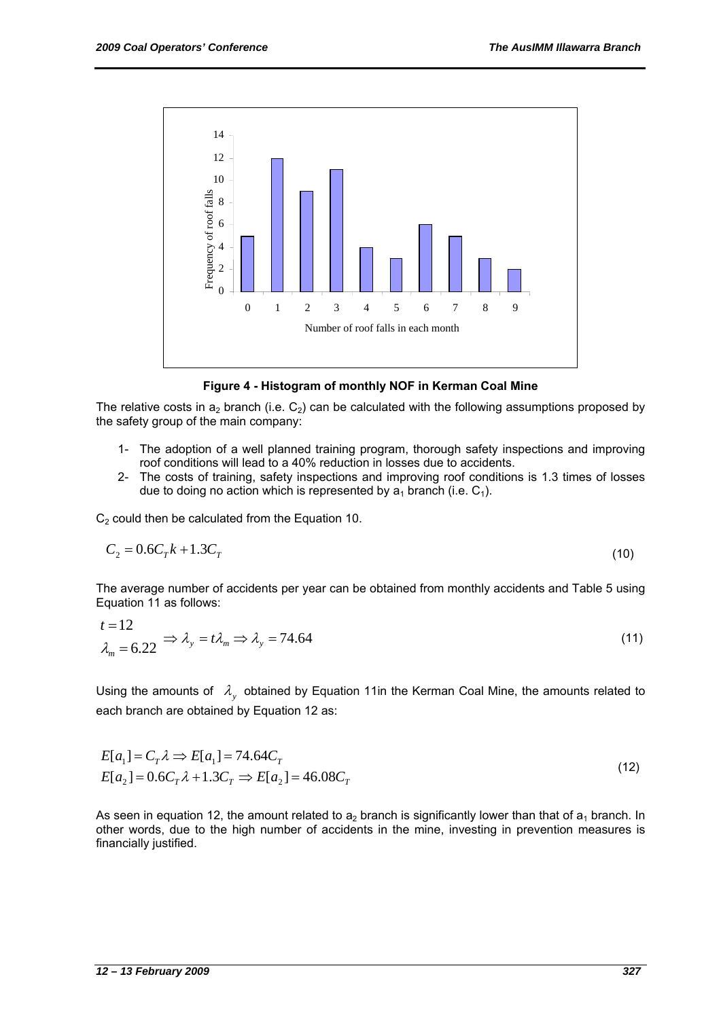

**Figure 4 - Histogram of monthly NOF in Kerman Coal Mine** 

The relative costs in  $a_2$  branch (i.e.  $C_2$ ) can be calculated with the following assumptions proposed by the safety group of the main company:

- 1- The adoption of a well planned training program, thorough safety inspections and improving roof conditions will lead to a 40% reduction in losses due to accidents.
- 2- The costs of training, safety inspections and improving roof conditions is 1.3 times of losses due to doing no action which is represented by  $a_1$  branch (i.e.  $C_1$ ).

 $C<sub>2</sub>$  could then be calculated from the Equation 10.

$$
C_2 = 0.6C_T k + 1.3C_T
$$
\n(10)

The average number of accidents per year can be obtained from monthly accidents and Table 5 using Equation 11 as follows:

$$
t = 12
$$
  

$$
\lambda_m = 6.22 \implies \lambda_y = t\lambda_m \implies \lambda_y = 74.64
$$
 (11)

Using the amounts of  $\lambda$ , obtained by Equation 11in the Kerman Coal Mine, the amounts related to each branch are obtained by Equation 12 as:

$$
E[a_1] = C_T \lambda \Rightarrow E[a_1] = 74.64 C_T
$$
  
\n
$$
E[a_2] = 0.6 C_T \lambda + 1.3 C_T \Rightarrow E[a_2] = 46.08 C_T
$$
 (12)

As seen in equation 12, the amount related to  $a_2$  branch is significantly lower than that of  $a_1$  branch. In other words, due to the high number of accidents in the mine, investing in prevention measures is financially justified.